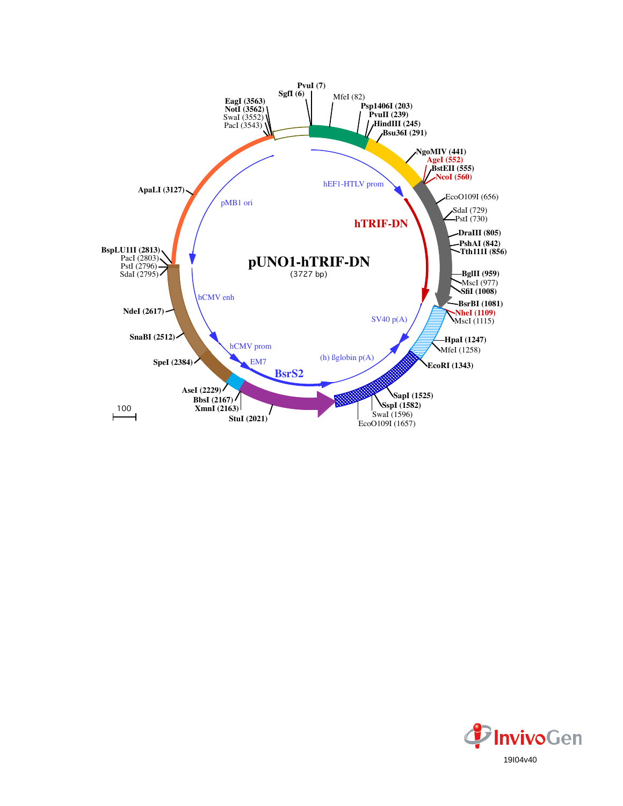

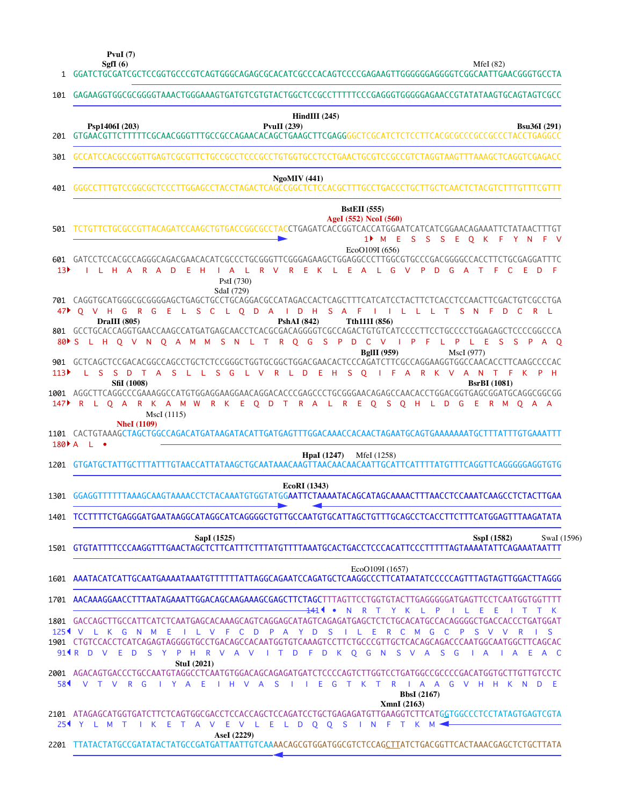**PvuI (7)**

| $\mathbf{1}$                       | MfeI $(82)$<br>SgfI $(6)$<br>GGATCTGCGATCGCTCCGGTGCCCGTCAGTGGGCAGAGCGCACATCGCCCACAGTCCCCGAGAAGTTGGGGGGAGGGTCGGCAATTGAACGGGTGCCTA                                                                                                                                                                                                                                                                                                                                                                                                                 |
|------------------------------------|--------------------------------------------------------------------------------------------------------------------------------------------------------------------------------------------------------------------------------------------------------------------------------------------------------------------------------------------------------------------------------------------------------------------------------------------------------------------------------------------------------------------------------------------------|
| 101                                | GAGAAGGTGGCGCGGGGTAAACTGGGAAAGTGATGTCGTGTACTGGCTCCGCCTTTTTCCCGAGGGTGGGGGAGAACCGTATATAAGTGCAGTAGTCGCC                                                                                                                                                                                                                                                                                                                                                                                                                                             |
| 201                                | $HindIII$ (245)<br>Psp1406I (203)<br>PvuII $(239)$<br><b>Bsu36I</b> (291)                                                                                                                                                                                                                                                                                                                                                                                                                                                                        |
| 301                                | GCCATCCACGCCGGTTGAGTCGCGTTCTGCCGCCTCCCGCCTGTGGTGCCTCCTGAACTGCGTCCGCCGTCTAGGTAAGTTTAAAGCTCAGGTCGAGACC                                                                                                                                                                                                                                                                                                                                                                                                                                             |
| 401                                | <b>NgoMIV</b> (441)                                                                                                                                                                                                                                                                                                                                                                                                                                                                                                                              |
| 501                                | <b>BstEII</b> (555)<br>AgeI (552) NcoI (560)<br>TCTGTTCTGCGCCGTTACAGATCCAAGCTGTGACCGGCGCCTACCTGAGATCACCGGTCACCATGGAATCATCATCGGAACAGAAATTCTATAACTTTGT<br>1 <sup>M</sup> E S S S E Q K F Y N F V<br>EcoO109I (656)<br>601 GATCCTCCACGCCAGGGCAGACGAACACATCGCCCTGCGGGTTCGGGAGAAGCTGGAGGCCCTTGGCGTGCCCGACGGGGCCACCTTCTGCGAGGATTTC                                                                                                                                                                                                                     |
| 13 <sup>b</sup><br>47 <sup>2</sup> | I L H A R A D E H<br>I A L R V R E K L E A L G V P D G A T F C E D<br>- F<br>PstI (730)<br>SdaI (729)<br>701 CAGGTGCATGGGCGCGGGGAGCTGAGCTGCCTGCAGGACGCCATAGACCACTCAGCTTTCATCATCCTACTTCTCACCTCCAACTTCGACTGTCGCCTGA<br>O V H G R G E L S C L O D A I D H S A F I I L L L T S N F D C R L                                                                                                                                                                                                                                                           |
|                                    | DraIII (805)<br>Tth111I (856)<br><b>PshAI</b> (842)<br>801 GCCTGCACCAGGTGAACCAAGCCATGATGAGCAACCTCACGCGACAGGGGTCGCCAGACTGTGTCATCCCCTTCCTGCCCCTGGAGAGCTCCCCGGCCCA<br>80 S L H O V N O A M M S N L T R O G S P D C V I P F<br>L P L E S S P<br>$A$ O<br><b>BgIII</b> (959)<br>MscI (977)                                                                                                                                                                                                                                                            |
| 113<br>147                         | 901 GCTCAGCTCCGACACGGCCAGCCTGCTCTCCGGGCTGGTGCGGCTGGACGAACACTCCCAGATCTTCGCCAGGAAGGTGGCCAACACCTTCAAGCCCCAC<br>L S S D T A S L L S G L V R L D E H S O I F A R K V A N T F K P H<br><b>SfiI</b> (1008)<br><b>BsrBI</b> (1081)<br>1001 AGGCTTCAGGCCCGAAAGGCCATGTGGAGGAAGGAACAGGACACCCGAGCCCTGCGGAACAGAGCCAACACCTGGACGGTGAGCGGATGCAGGCGGCGG<br>R L Q A R K A M W R K E Q D T R A L R E Q S Q H L D G E R M Q A A<br>MscI (1115)                                                                                                                       |
|                                    | <b>NheI</b> (1109)<br>1101 CACTGTAAAGCTAGCTGGCCAGACATGATAAGATACATTGATGAGTTTGGACAAACCACAACTAGAATGCAGTGAAAAAAATGCTTTATTTGTGAAATTT<br>$180+A \quad L \quad \bullet$                                                                                                                                                                                                                                                                                                                                                                                 |
| 1201                               | <b>HpaI</b> (1247) MfeI (1258)                                                                                                                                                                                                                                                                                                                                                                                                                                                                                                                   |
| 1301                               | EcoRI (1343)<br>GGAGGTTTTTTTAAAGCAAGTAAAACCTCTACAAATGTGGTATGGAATTCTAAAATACAGCATAGCAAAACTTTAACCTCCAAATCAAGCCTCTACTTGAA                                                                                                                                                                                                                                                                                                                                                                                                                            |
|                                    | 1401 TCCTTTTCTGAGGGATGAATAAGGCATAGGCATCAGGGGCTGTTGCCAATGTGCATTAGCTGTTTGCAGCCTCACCTTCTTTCATGGAGTTTAAGATATA                                                                                                                                                                                                                                                                                                                                                                                                                                        |
|                                    | SapI (1525)<br>SspI (1582)<br>SwaI (1596)<br>1501 GTGTATTTTCCCAAGGTTTGAACTAGCTCTTCATTTCTTTATGTTTTAAATGCACTGACCTCCCACATTCCCTTTTTAGTAAAATATTCAGAAATAATTT                                                                                                                                                                                                                                                                                                                                                                                           |
|                                    | EcoO109I (1657)<br>1601 AAATACATCATTGCAATGAAAATAAATGTTTTTTATTAGGCAGAATCCAGATGCTCAAGGCCCTTCATAATATCCCCCAGTTTAGTAGTTGGACTTAGGG                                                                                                                                                                                                                                                                                                                                                                                                                     |
| $125$ <sup>4</sup> V               | 1701 AACAAAGGAACCTTTAATAGAAATTGGACAGCAAGAAAGCGAGCTTCTAGCTTTAGTTCCTGGTGTACTTGAGGGGGATGAGTTCCTCAATGGTGGTTTT<br><del>14</del> 1◀ ● N R T Y K L P<br>1 L E<br>- E<br>ITTK<br>1801 GACCAGCTTGCCATTCATCTCAATGAGCACAAAGCAGTCAGGAGCATAGTCAGAGATGAGCTCTCTGCACATGCCACAGGGGCTGACCACCCTGATGGAT<br>L K G N<br>M<br>L V F C D P A Y D S<br>R<br><b>C</b><br>M G<br>$\mathbf{C}$<br><b>S</b><br><sub>S</sub><br>- E<br>$\mathsf{P}$<br>$\vee$<br>V<br>1901 CTGTCCACCTCATCAGAGTAGGGGTGCCTGACAGCCACAATGGTGTCAAAGTCCTTCTGCCCGTTGCTCACAGCAGACCCAATGGCAATGGCTTCAGCAC |
|                                    | 914R D V E D S Y P H R V A V I T D F D K Q G N S V A S G<br>I A I A E A C<br><b>StuI</b> (2021)<br>2001 AGACAGTGACCCTGCCAATGTAGGCCTCAATGTGGACAGCAGAGATGATCTCCCCAGTCTTGGTCCTGATGGCCGCCCCGACATGGTGCTTGTTGTCCTC<br>584 V T V R G I Y A E I H V A S I I E G T K T R I A A G V H H K N D E<br><b>BbsI</b> (2167)                                                                                                                                                                                                                                      |
|                                    | XmnI (2163)<br>2101 ATAGAGCATGGTGATCTTCTCAGTGGCGACCTCCACCAGCTCCAGATCCTGCTGAGAGATGTTGAAGGTCTTCATGGTGGCCCTCCTATAGTGAGTCGTA<br>254 Y L M T I K E T A V E V L E L D Q Q S I N F T K M <                                                                                                                                                                                                                                                                                                                                                              |
|                                    | AseI (2229)<br>2201 TTATACTATGCCGATATACTATGCCGATGATTAATTGTCAAAACAGCGTGGATGGCGTCTCCAGCTTATCTGACGGTTCACTAAACGAGCTCTGCTTATA                                                                                                                                                                                                                                                                                                                                                                                                                         |